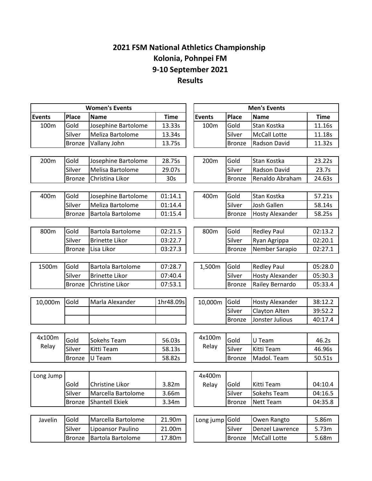## **2021 FSM National Athletics Championship Kolonia, Pohnpei FM 9-10 September 2021 Results**

|               | <b>Women's Events</b> | <b>Men's Events</b>      |                 |               |               |                        |             |
|---------------|-----------------------|--------------------------|-----------------|---------------|---------------|------------------------|-------------|
| <b>Events</b> | Place                 | <b>Name</b>              | <b>Time</b>     | <b>Events</b> | Place         | <b>Name</b>            | <b>Time</b> |
| 100m          | Gold                  | Josephine Bartolome      | 13.33s          | 100m          | Gold          | Stan Kostka            | 11.16s      |
|               | Silver                | Meliza Bartolome         | 13.34s          |               | Silver        | <b>McCall Lotte</b>    | 11.18s      |
|               | <b>Bronze</b>         | Vallany John             | 13.75s          |               | <b>Bronze</b> | Radson David           | 11.32s      |
|               |                       |                          |                 |               |               |                        |             |
| 200m          | Gold                  | Josephine Bartolome      | 28.75s          | 200m          | Gold          | Stan Kostka            | 23.22s      |
|               | Silver                | Melisa Bartolome         | 29.07s          |               | Silver        | <b>Radson David</b>    | 23.7s       |
|               | <b>Bronze</b>         | Christina Likor          | 30 <sub>s</sub> |               | <b>Bronze</b> | Renaldo Abraham        | 24.63s      |
|               |                       |                          |                 |               |               |                        |             |
| 400m          | Gold                  | Josephine Bartolome      | 01:14.1         | 400m          | Gold          | Stan Kostka            | 57.21s      |
|               | Silver                | Meliza Bartolome         | 01:14.4         |               | Silver        | Josh Gallen            | 58.14s      |
|               | <b>Bronze</b>         | Bartola Bartolome        | 01:15.4         |               | <b>Bronze</b> | <b>Hosty Alexander</b> | 58.25s      |
|               |                       |                          |                 |               |               |                        |             |
| 800m          | Gold                  | Bartola Bartolome        | 02:21.5         | 800m          | Gold          | <b>Redley Paul</b>     | 02:13.2     |
|               | Silver                | <b>Brinette Likor</b>    | 03:22.7         |               | Silver        | Ryan Agrippa           | 02:20.1     |
|               | <b>Bronze</b>         | Lisa Likor               | 03:27.3         |               | <b>Bronze</b> | Nember Sarapio         | 02:27.1     |
|               |                       |                          |                 |               |               |                        |             |
| 1500m         | Gold                  | <b>Bartola Bartolome</b> | 07:28.7         | 1,500m        | Gold          | <b>Redley Paul</b>     | 05:28.0     |
|               | Silver                | <b>Brinette Likor</b>    | 07:40.4         |               | Silver        | <b>Hosty Alexander</b> | 05:30.3     |
|               | <b>Bronze</b>         | Christine Likor          | 07:53.1         |               | <b>Bronze</b> | Railey Bernardo        | 05:33.4     |
|               |                       |                          |                 |               |               |                        |             |
| 10,000m       | Gold                  | Marla Alexander          | 1hr48.09s       | 10,000m       | Gold          | <b>Hosty Alexander</b> | 38:12.2     |
|               |                       |                          |                 |               | Silver        | Clayton Alten          | 39:52.2     |
|               |                       |                          |                 |               | <b>Bronze</b> | Jonster Julious        | 40:17.4     |
|               |                       |                          |                 |               |               |                        |             |
| 4x100m        | Gold                  | Sokehs Team              | 56.03s          | 4x100m        | Gold          | U Team                 | 46.2s       |
| Relay         | Silver                | Kitti Team               | 58.13s          | Relay         | Silver        | Kitti Team             | 46.96s      |
|               | <b>Bronze</b>         | U Team                   | 58.82s          |               | <b>Bronze</b> | Madol. Team            | 50.51s      |
|               |                       |                          |                 |               |               |                        |             |
| Long Jump     |                       |                          |                 | 4x400m        |               |                        |             |
|               | Gold                  | Christine Likor          | 3.82m           | Relay         | Gold          | Kitti Team             | 04:10.4     |
|               | Silver                | Marcella Bartolome       | 3.66m           |               | Silver        | Sokehs Team            | 04:16.5     |
|               | <b>Bronze</b>         | Shantell Ekiek           | 3.34m           |               | <b>Bronze</b> | <b>Nett Team</b>       | 04:35.8     |
|               |                       |                          |                 |               |               |                        |             |
| Javelin       | Gold                  | Marcella Bartolome       | 21.90m          | Long jump     | Gold          | Owen Rangto            | 5.86m       |
|               | Silver                | Lipoansor Paulino        | 21.00m          |               | Silver        | Denzel Lawrence        | 5.73m       |
|               | <b>Bronze</b>         | Bartola Bartolome        | 17.80m          |               | Bronze        | <b>McCall Lotte</b>    | 5.68m       |